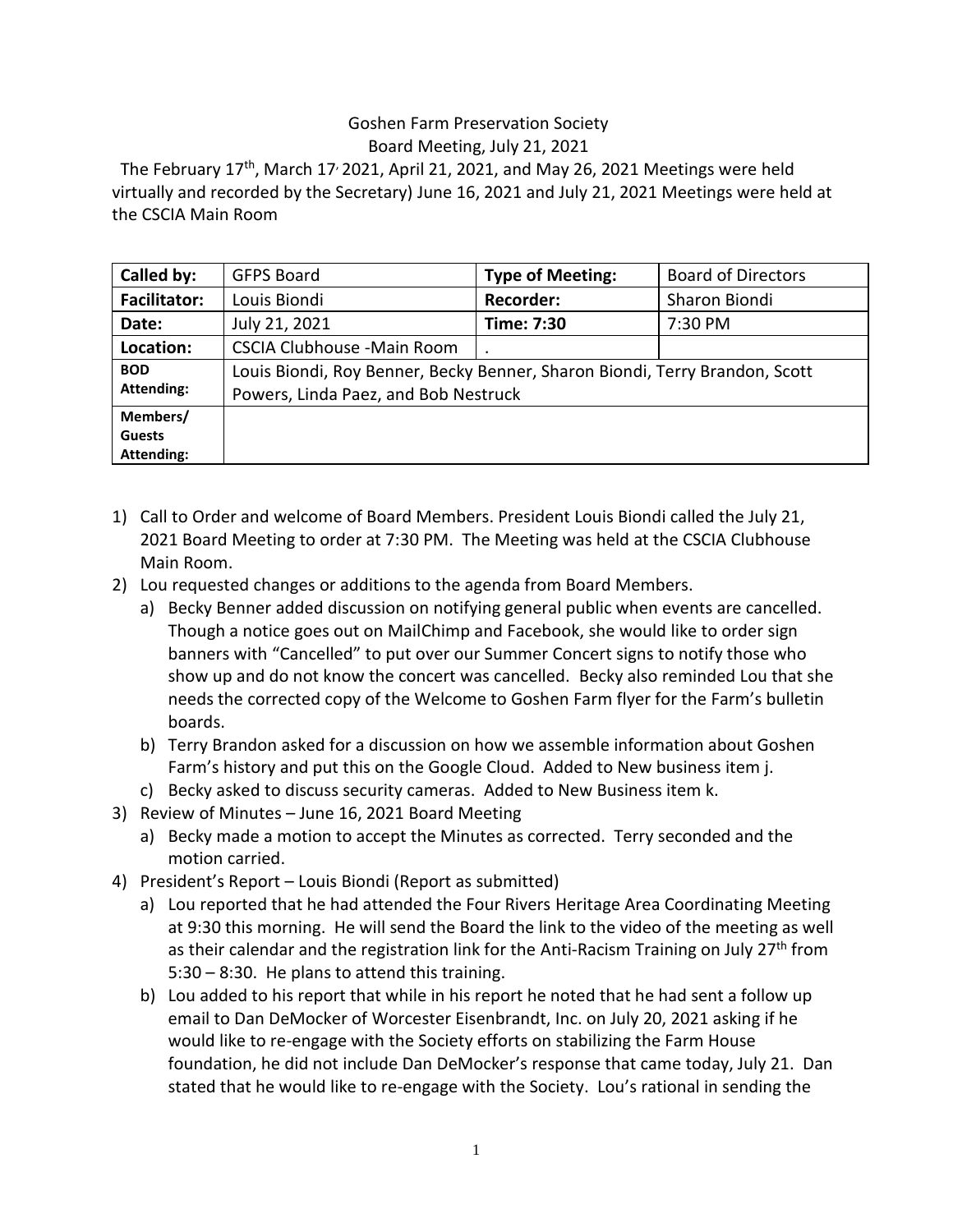## Goshen Farm Preservation Society Board Meeting, July 21, 2021

The February 17<sup>th</sup>, March 17<sup>,</sup> 2021, April 21, 2021, and May 26, 2021 Meetings were held virtually and recorded by the Secretary) June 16, 2021 and July 21, 2021 Meetings were held at the CSCIA Main Room

| Called by:          | <b>GFPS Board</b>                                                                                                   | <b>Type of Meeting:</b> | <b>Board of Directors</b> |
|---------------------|---------------------------------------------------------------------------------------------------------------------|-------------------------|---------------------------|
| <b>Facilitator:</b> | Louis Biondi                                                                                                        | <b>Recorder:</b>        | Sharon Biondi             |
| Date:               | July 21, 2021                                                                                                       | Time: 7:30              | 7:30 PM                   |
| Location:           | <b>CSCIA Clubhouse -Main Room</b>                                                                                   |                         |                           |
| <b>BOD</b>          | Louis Biondi, Roy Benner, Becky Benner, Sharon Biondi, Terry Brandon, Scott<br>Powers, Linda Paez, and Bob Nestruck |                         |                           |
| <b>Attending:</b>   |                                                                                                                     |                         |                           |
| Members/            |                                                                                                                     |                         |                           |
| <b>Guests</b>       |                                                                                                                     |                         |                           |
| Attending:          |                                                                                                                     |                         |                           |

- 1) Call to Order and welcome of Board Members. President Louis Biondi called the July 21, 2021 Board Meeting to order at 7:30 PM. The Meeting was held at the CSCIA Clubhouse Main Room.
- 2) Lou requested changes or additions to the agenda from Board Members.
	- a) Becky Benner added discussion on notifying general public when events are cancelled. Though a notice goes out on MailChimp and Facebook, she would like to order sign banners with "Cancelled" to put over our Summer Concert signs to notify those who show up and do not know the concert was cancelled. Becky also reminded Lou that she needs the corrected copy of the Welcome to Goshen Farm flyer for the Farm's bulletin boards.
	- b) Terry Brandon asked for a discussion on how we assemble information about Goshen Farm's history and put this on the Google Cloud. Added to New business item j.
	- c) Becky asked to discuss security cameras. Added to New Business item k.
- 3) Review of Minutes June 16, 2021 Board Meeting
	- a) Becky made a motion to accept the Minutes as corrected. Terry seconded and the motion carried.
- 4) President's Report Louis Biondi (Report as submitted)
	- a) Lou reported that he had attended the Four Rivers Heritage Area Coordinating Meeting at 9:30 this morning. He will send the Board the link to the video of the meeting as well as their calendar and the registration link for the Anti-Racism Training on July 27<sup>th</sup> from 5:30 – 8:30. He plans to attend this training.
	- b) Lou added to his report that while in his report he noted that he had sent a follow up email to Dan DeMocker of Worcester Eisenbrandt, Inc. on July 20, 2021 asking if he would like to re-engage with the Society efforts on stabilizing the Farm House foundation, he did not include Dan DeMocker's response that came today, July 21. Dan stated that he would like to re-engage with the Society. Lou's rational in sending the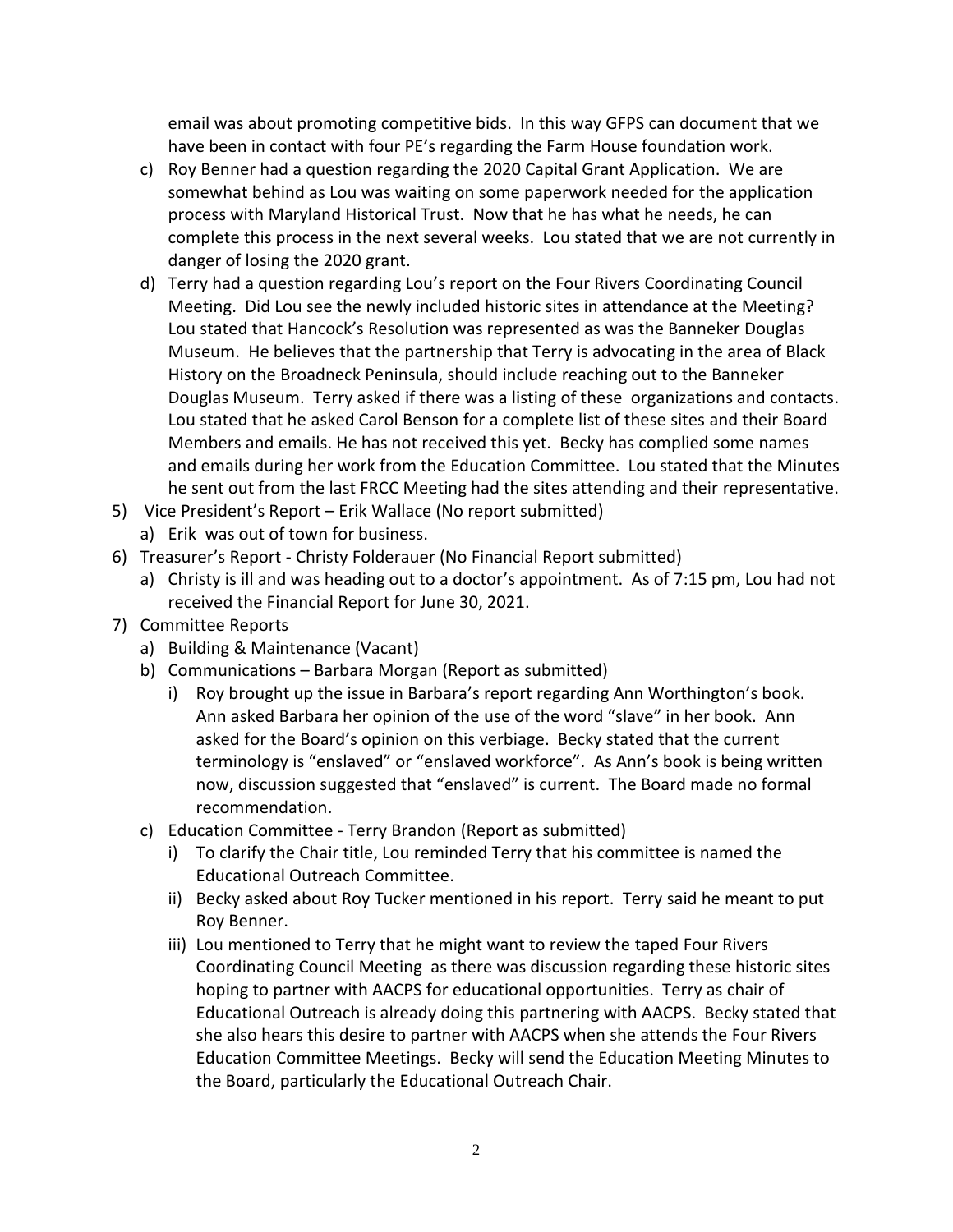email was about promoting competitive bids. In this way GFPS can document that we have been in contact with four PE's regarding the Farm House foundation work.

- c) Roy Benner had a question regarding the 2020 Capital Grant Application. We are somewhat behind as Lou was waiting on some paperwork needed for the application process with Maryland Historical Trust. Now that he has what he needs, he can complete this process in the next several weeks. Lou stated that we are not currently in danger of losing the 2020 grant.
- d) Terry had a question regarding Lou's report on the Four Rivers Coordinating Council Meeting. Did Lou see the newly included historic sites in attendance at the Meeting? Lou stated that Hancock's Resolution was represented as was the Banneker Douglas Museum. He believes that the partnership that Terry is advocating in the area of Black History on the Broadneck Peninsula, should include reaching out to the Banneker Douglas Museum. Terry asked if there was a listing of these organizations and contacts. Lou stated that he asked Carol Benson for a complete list of these sites and their Board Members and emails. He has not received this yet. Becky has complied some names and emails during her work from the Education Committee. Lou stated that the Minutes he sent out from the last FRCC Meeting had the sites attending and their representative.
- 5) Vice President's Report Erik Wallace (No report submitted)
	- a) Erik was out of town for business.
- 6) Treasurer's Report Christy Folderauer (No Financial Report submitted)
	- a) Christy is ill and was heading out to a doctor's appointment. As of 7:15 pm, Lou had not received the Financial Report for June 30, 2021.
- 7) Committee Reports
	- a) Building & Maintenance (Vacant)
	- b) Communications Barbara Morgan (Report as submitted)
		- i) Roy brought up the issue in Barbara's report regarding Ann Worthington's book. Ann asked Barbara her opinion of the use of the word "slave" in her book. Ann asked for the Board's opinion on this verbiage. Becky stated that the current terminology is "enslaved" or "enslaved workforce". As Ann's book is being written now, discussion suggested that "enslaved" is current. The Board made no formal recommendation.
	- c) Education Committee Terry Brandon (Report as submitted)
		- i) To clarify the Chair title, Lou reminded Terry that his committee is named the Educational Outreach Committee.
		- ii) Becky asked about Roy Tucker mentioned in his report. Terry said he meant to put Roy Benner.
		- iii) Lou mentioned to Terry that he might want to review the taped Four Rivers Coordinating Council Meeting as there was discussion regarding these historic sites hoping to partner with AACPS for educational opportunities. Terry as chair of Educational Outreach is already doing this partnering with AACPS. Becky stated that she also hears this desire to partner with AACPS when she attends the Four Rivers Education Committee Meetings. Becky will send the Education Meeting Minutes to the Board, particularly the Educational Outreach Chair.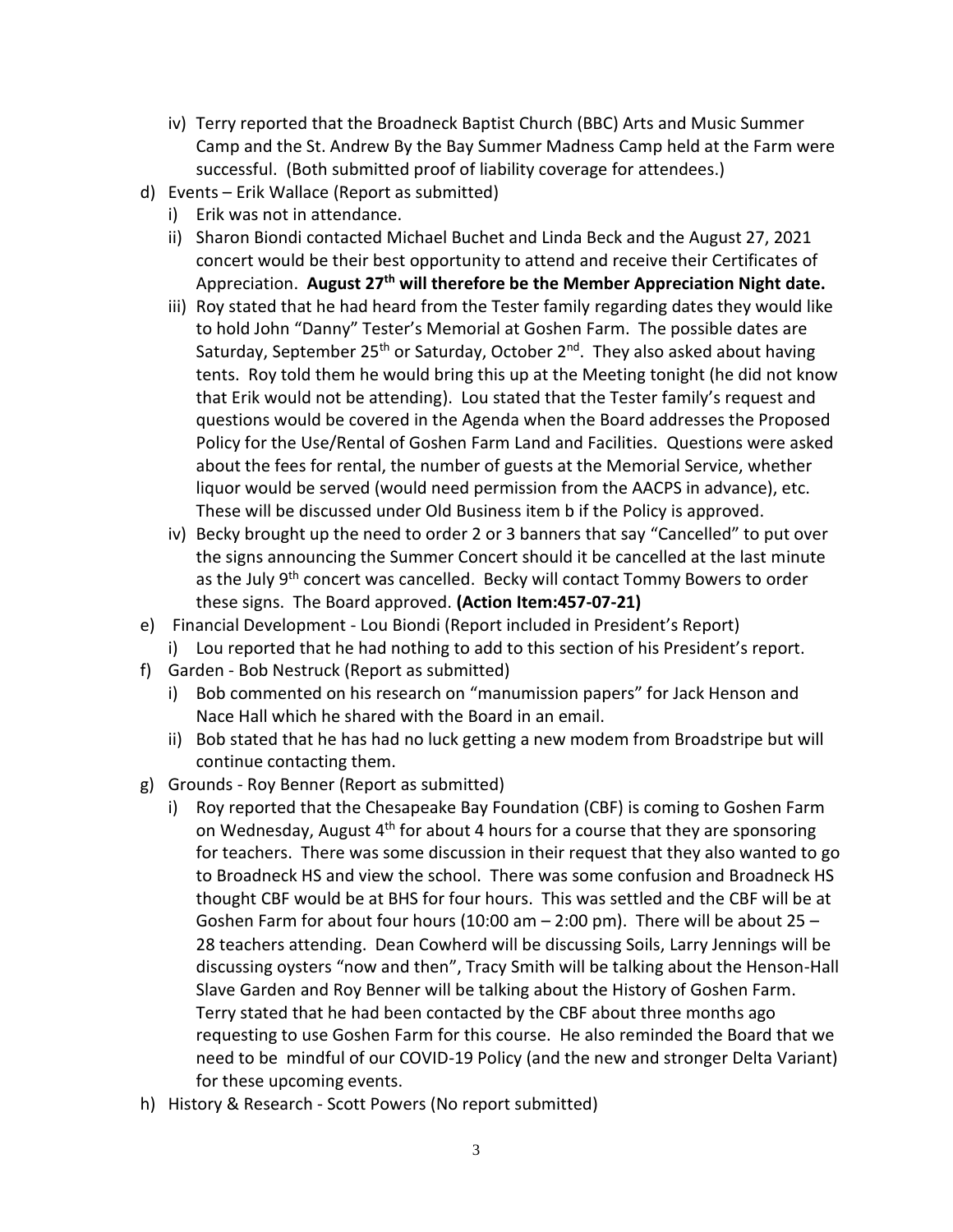- iv) Terry reported that the Broadneck Baptist Church (BBC) Arts and Music Summer Camp and the St. Andrew By the Bay Summer Madness Camp held at the Farm were successful. (Both submitted proof of liability coverage for attendees.)
- d) Events Erik Wallace (Report as submitted)
	- i) Erik was not in attendance.
	- ii) Sharon Biondi contacted Michael Buchet and Linda Beck and the August 27, 2021 concert would be their best opportunity to attend and receive their Certificates of Appreciation. **August 27th will therefore be the Member Appreciation Night date.**
	- iii) Roy stated that he had heard from the Tester family regarding dates they would like to hold John "Danny" Tester's Memorial at Goshen Farm. The possible dates are Saturday, September 25<sup>th</sup> or Saturday, October 2<sup>nd</sup>. They also asked about having tents. Roy told them he would bring this up at the Meeting tonight (he did not know that Erik would not be attending). Lou stated that the Tester family's request and questions would be covered in the Agenda when the Board addresses the Proposed Policy for the Use/Rental of Goshen Farm Land and Facilities. Questions were asked about the fees for rental, the number of guests at the Memorial Service, whether liquor would be served (would need permission from the AACPS in advance), etc. These will be discussed under Old Business item b if the Policy is approved.
	- iv) Becky brought up the need to order 2 or 3 banners that say "Cancelled" to put over the signs announcing the Summer Concert should it be cancelled at the last minute as the July 9<sup>th</sup> concert was cancelled. Becky will contact Tommy Bowers to order these signs. The Board approved. **(Action Item:457-07-21)**
- e) Financial Development Lou Biondi (Report included in President's Report)
	- i) Lou reported that he had nothing to add to this section of his President's report.
- f) Garden Bob Nestruck (Report as submitted)
	- i) Bob commented on his research on "manumission papers" for Jack Henson and Nace Hall which he shared with the Board in an email.
	- ii) Bob stated that he has had no luck getting a new modem from Broadstripe but will continue contacting them.
- g) Grounds Roy Benner (Report as submitted)
	- i) Roy reported that the Chesapeake Bay Foundation (CBF) is coming to Goshen Farm on Wednesday, August 4<sup>th</sup> for about 4 hours for a course that they are sponsoring for teachers. There was some discussion in their request that they also wanted to go to Broadneck HS and view the school. There was some confusion and Broadneck HS thought CBF would be at BHS for four hours. This was settled and the CBF will be at Goshen Farm for about four hours (10:00 am  $-$  2:00 pm). There will be about 25  $-$ 28 teachers attending. Dean Cowherd will be discussing Soils, Larry Jennings will be discussing oysters "now and then", Tracy Smith will be talking about the Henson-Hall Slave Garden and Roy Benner will be talking about the History of Goshen Farm. Terry stated that he had been contacted by the CBF about three months ago requesting to use Goshen Farm for this course. He also reminded the Board that we need to be mindful of our COVID-19 Policy (and the new and stronger Delta Variant) for these upcoming events.
- h) History & Research Scott Powers (No report submitted)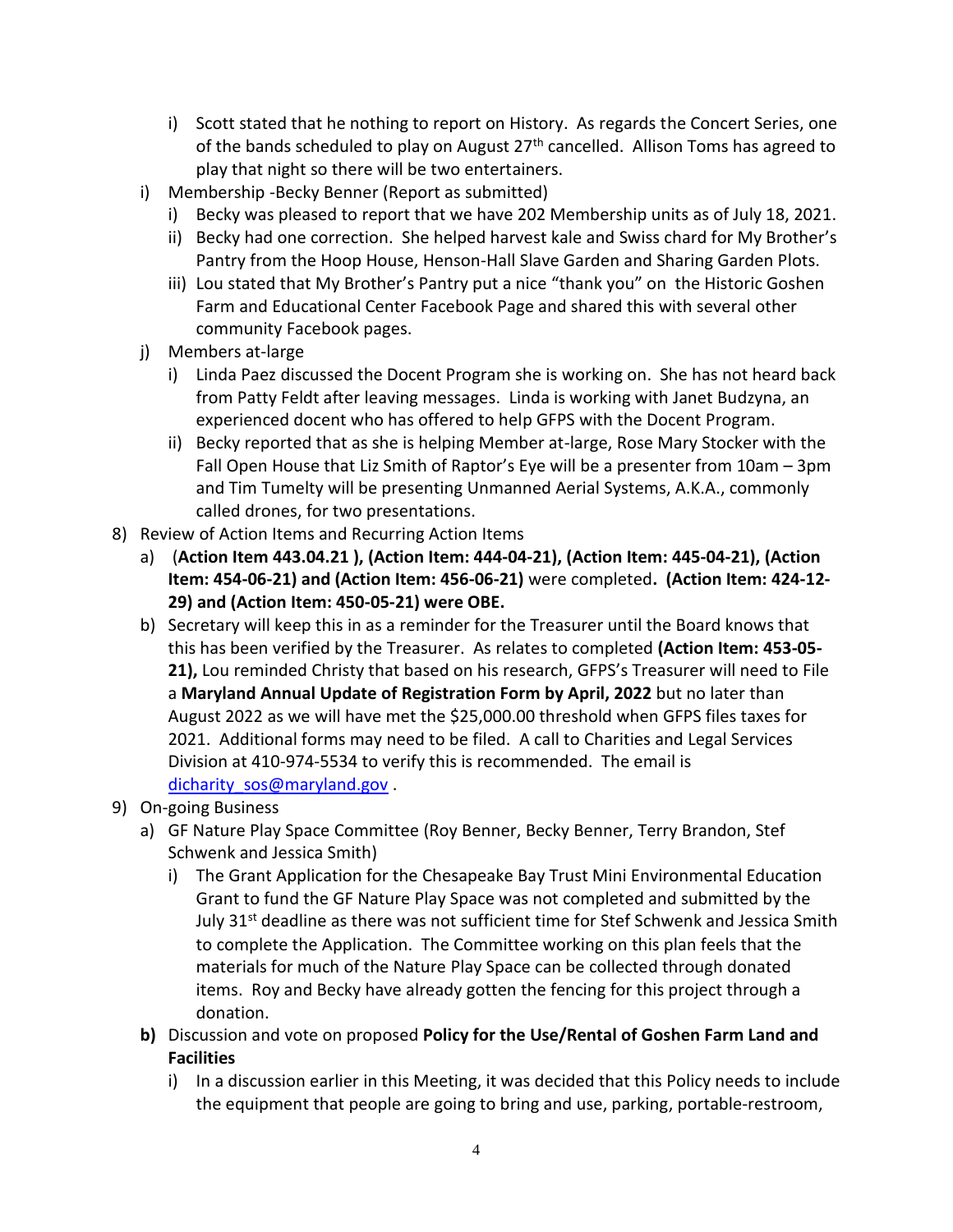- i) Scott stated that he nothing to report on History. As regards the Concert Series, one of the bands scheduled to play on August 27<sup>th</sup> cancelled. Allison Toms has agreed to play that night so there will be two entertainers.
- i) Membership -Becky Benner (Report as submitted)
	- i) Becky was pleased to report that we have 202 Membership units as of July 18, 2021.
	- ii) Becky had one correction. She helped harvest kale and Swiss chard for My Brother's Pantry from the Hoop House, Henson-Hall Slave Garden and Sharing Garden Plots.
	- iii) Lou stated that My Brother's Pantry put a nice "thank you" on the Historic Goshen Farm and Educational Center Facebook Page and shared this with several other community Facebook pages.
- j) Members at-large
	- i) Linda Paez discussed the Docent Program she is working on. She has not heard back from Patty Feldt after leaving messages. Linda is working with Janet Budzyna, an experienced docent who has offered to help GFPS with the Docent Program.
	- ii) Becky reported that as she is helping Member at-large, Rose Mary Stocker with the Fall Open House that Liz Smith of Raptor's Eye will be a presenter from 10am – 3pm and Tim Tumelty will be presenting Unmanned Aerial Systems, A.K.A., commonly called drones, for two presentations.
- 8) Review of Action Items and Recurring Action Items
	- a) (**Action Item 443.04.21 ), (Action Item: 444-04-21), (Action Item: 445-04-21), (Action Item: 454-06-21) and (Action Item: 456-06-21)** were completed**. (Action Item: 424-12- 29) and (Action Item: 450-05-21) were OBE.**
	- b) Secretary will keep this in as a reminder for the Treasurer until the Board knows that this has been verified by the Treasurer. As relates to completed **(Action Item: 453-05- 21),** Lou reminded Christy that based on his research, GFPS's Treasurer will need to File a **Maryland Annual Update of Registration Form by April, 2022** but no later than August 2022 as we will have met the \$25,000.00 threshold when GFPS files taxes for 2021. Additional forms may need to be filed. A call to Charities and Legal Services Division at 410-974-5534 to verify this is recommended. The email is [dicharity\\_sos@maryland.gov](mailto:dicharity_sos@maryland.gov) .
- 9) On-going Business
	- a) GF Nature Play Space Committee (Roy Benner, Becky Benner, Terry Brandon, Stef Schwenk and Jessica Smith)
		- i) The Grant Application for the Chesapeake Bay Trust Mini Environmental Education Grant to fund the GF Nature Play Space was not completed and submitted by the July 31<sup>st</sup> deadline as there was not sufficient time for Stef Schwenk and Jessica Smith to complete the Application. The Committee working on this plan feels that the materials for much of the Nature Play Space can be collected through donated items. Roy and Becky have already gotten the fencing for this project through a donation.
	- **b)** Discussion and vote on proposed **Policy for the Use/Rental of Goshen Farm Land and Facilities**
		- i) In a discussion earlier in this Meeting, it was decided that this Policy needs to include the equipment that people are going to bring and use, parking, portable-restroom,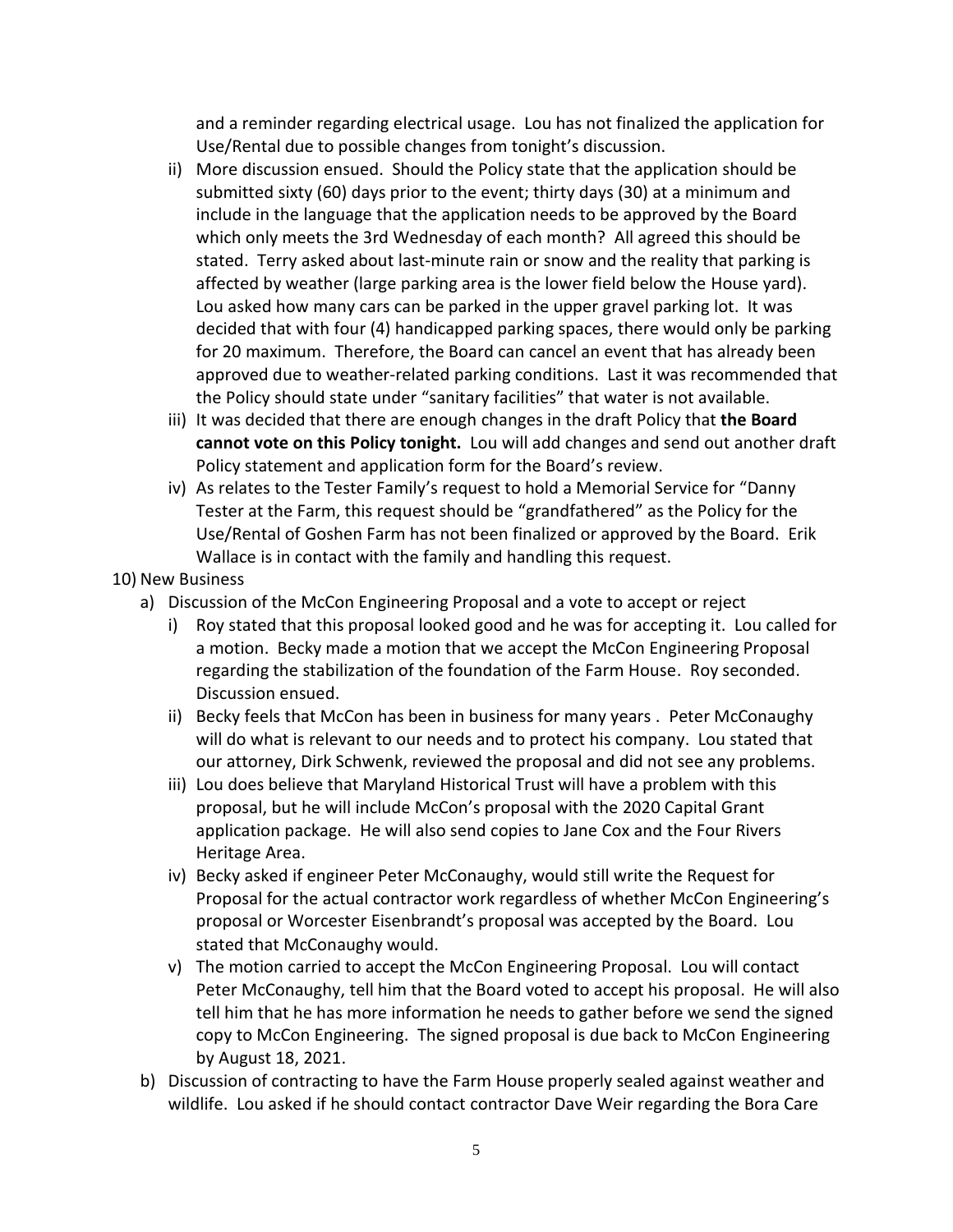and a reminder regarding electrical usage. Lou has not finalized the application for Use/Rental due to possible changes from tonight's discussion.

- ii) More discussion ensued. Should the Policy state that the application should be submitted sixty (60) days prior to the event; thirty days (30) at a minimum and include in the language that the application needs to be approved by the Board which only meets the 3rd Wednesday of each month? All agreed this should be stated. Terry asked about last-minute rain or snow and the reality that parking is affected by weather (large parking area is the lower field below the House yard). Lou asked how many cars can be parked in the upper gravel parking lot. It was decided that with four (4) handicapped parking spaces, there would only be parking for 20 maximum. Therefore, the Board can cancel an event that has already been approved due to weather-related parking conditions. Last it was recommended that the Policy should state under "sanitary facilities" that water is not available.
- iii) It was decided that there are enough changes in the draft Policy that **the Board cannot vote on this Policy tonight.** Lou will add changes and send out another draft Policy statement and application form for the Board's review.
- iv) As relates to the Tester Family's request to hold a Memorial Service for "Danny Tester at the Farm, this request should be "grandfathered" as the Policy for the Use/Rental of Goshen Farm has not been finalized or approved by the Board. Erik Wallace is in contact with the family and handling this request.
- 10) New Business
	- a) Discussion of the McCon Engineering Proposal and a vote to accept or reject
		- i) Roy stated that this proposal looked good and he was for accepting it. Lou called for a motion. Becky made a motion that we accept the McCon Engineering Proposal regarding the stabilization of the foundation of the Farm House. Roy seconded. Discussion ensued.
		- ii) Becky feels that McCon has been in business for many years . Peter McConaughy will do what is relevant to our needs and to protect his company. Lou stated that our attorney, Dirk Schwenk, reviewed the proposal and did not see any problems.
		- iii) Lou does believe that Maryland Historical Trust will have a problem with this proposal, but he will include McCon's proposal with the 2020 Capital Grant application package. He will also send copies to Jane Cox and the Four Rivers Heritage Area.
		- iv) Becky asked if engineer Peter McConaughy, would still write the Request for Proposal for the actual contractor work regardless of whether McCon Engineering's proposal or Worcester Eisenbrandt's proposal was accepted by the Board. Lou stated that McConaughy would.
		- v) The motion carried to accept the McCon Engineering Proposal. Lou will contact Peter McConaughy, tell him that the Board voted to accept his proposal. He will also tell him that he has more information he needs to gather before we send the signed copy to McCon Engineering. The signed proposal is due back to McCon Engineering by August 18, 2021.
	- b) Discussion of contracting to have the Farm House properly sealed against weather and wildlife. Lou asked if he should contact contractor Dave Weir regarding the Bora Care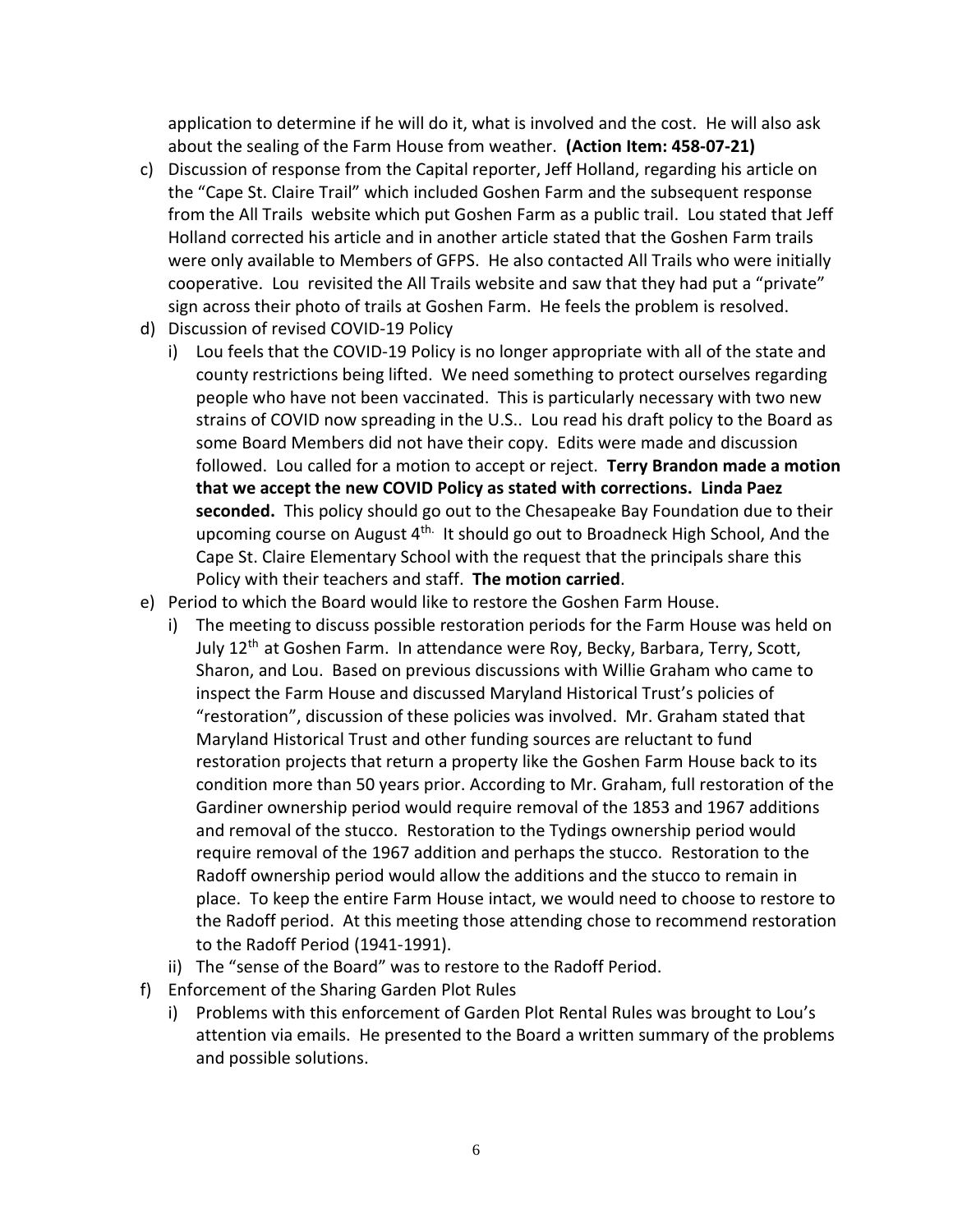application to determine if he will do it, what is involved and the cost. He will also ask about the sealing of the Farm House from weather. **(Action Item: 458-07-21)**

- c) Discussion of response from the Capital reporter, Jeff Holland, regarding his article on the "Cape St. Claire Trail" which included Goshen Farm and the subsequent response from the All Trails website which put Goshen Farm as a public trail. Lou stated that Jeff Holland corrected his article and in another article stated that the Goshen Farm trails were only available to Members of GFPS. He also contacted All Trails who were initially cooperative. Lou revisited the All Trails website and saw that they had put a "private" sign across their photo of trails at Goshen Farm. He feels the problem is resolved.
- d) Discussion of revised COVID-19 Policy
	- i) Lou feels that the COVID-19 Policy is no longer appropriate with all of the state and county restrictions being lifted. We need something to protect ourselves regarding people who have not been vaccinated. This is particularly necessary with two new strains of COVID now spreading in the U.S.. Lou read his draft policy to the Board as some Board Members did not have their copy. Edits were made and discussion followed. Lou called for a motion to accept or reject. **Terry Brandon made a motion that we accept the new COVID Policy as stated with corrections. Linda Paez seconded.** This policy should go out to the Chesapeake Bay Foundation due to their upcoming course on August 4<sup>th.</sup> It should go out to Broadneck High School, And the Cape St. Claire Elementary School with the request that the principals share this Policy with their teachers and staff. **The motion carried**.
- e) Period to which the Board would like to restore the Goshen Farm House.
	- i) The meeting to discuss possible restoration periods for the Farm House was held on July 12<sup>th</sup> at Goshen Farm. In attendance were Roy, Becky, Barbara, Terry, Scott, Sharon, and Lou. Based on previous discussions with Willie Graham who came to inspect the Farm House and discussed Maryland Historical Trust's policies of "restoration", discussion of these policies was involved. Mr. Graham stated that Maryland Historical Trust and other funding sources are reluctant to fund restoration projects that return a property like the Goshen Farm House back to its condition more than 50 years prior. According to Mr. Graham, full restoration of the Gardiner ownership period would require removal of the 1853 and 1967 additions and removal of the stucco. Restoration to the Tydings ownership period would require removal of the 1967 addition and perhaps the stucco. Restoration to the Radoff ownership period would allow the additions and the stucco to remain in place. To keep the entire Farm House intact, we would need to choose to restore to the Radoff period. At this meeting those attending chose to recommend restoration to the Radoff Period (1941-1991).
	- ii) The "sense of the Board" was to restore to the Radoff Period.
- f) Enforcement of the Sharing Garden Plot Rules
	- i) Problems with this enforcement of Garden Plot Rental Rules was brought to Lou's attention via emails. He presented to the Board a written summary of the problems and possible solutions.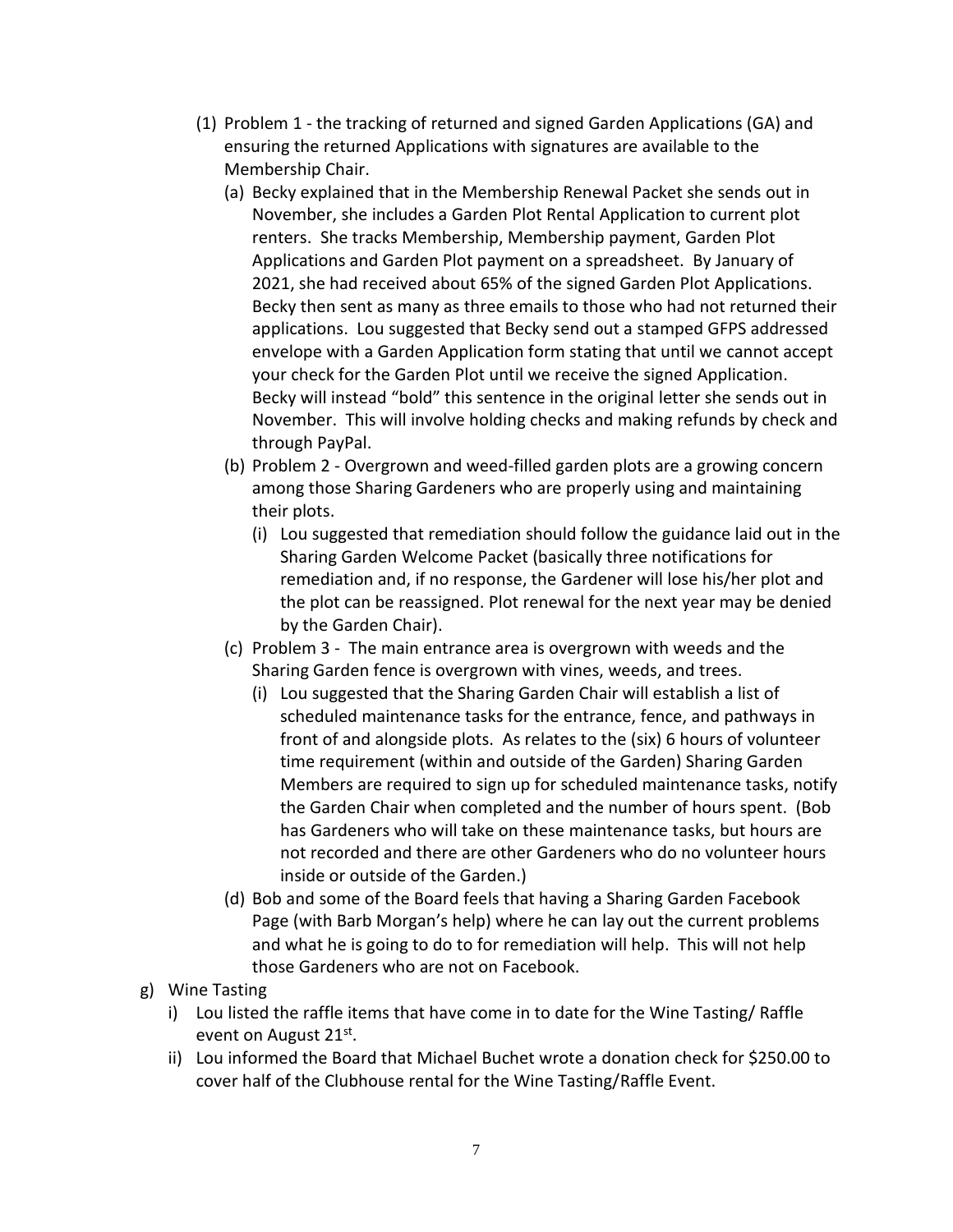- (1) Problem 1 the tracking of returned and signed Garden Applications (GA) and ensuring the returned Applications with signatures are available to the Membership Chair.
	- (a) Becky explained that in the Membership Renewal Packet she sends out in November, she includes a Garden Plot Rental Application to current plot renters. She tracks Membership, Membership payment, Garden Plot Applications and Garden Plot payment on a spreadsheet. By January of 2021, she had received about 65% of the signed Garden Plot Applications. Becky then sent as many as three emails to those who had not returned their applications. Lou suggested that Becky send out a stamped GFPS addressed envelope with a Garden Application form stating that until we cannot accept your check for the Garden Plot until we receive the signed Application. Becky will instead "bold" this sentence in the original letter she sends out in November. This will involve holding checks and making refunds by check and through PayPal.
	- (b) Problem 2 Overgrown and weed-filled garden plots are a growing concern among those Sharing Gardeners who are properly using and maintaining their plots.
		- (i) Lou suggested that remediation should follow the guidance laid out in the Sharing Garden Welcome Packet (basically three notifications for remediation and, if no response, the Gardener will lose his/her plot and the plot can be reassigned. Plot renewal for the next year may be denied by the Garden Chair).
	- (c) Problem 3 The main entrance area is overgrown with weeds and the Sharing Garden fence is overgrown with vines, weeds, and trees.
		- (i) Lou suggested that the Sharing Garden Chair will establish a list of scheduled maintenance tasks for the entrance, fence, and pathways in front of and alongside plots. As relates to the (six) 6 hours of volunteer time requirement (within and outside of the Garden) Sharing Garden Members are required to sign up for scheduled maintenance tasks, notify the Garden Chair when completed and the number of hours spent. (Bob has Gardeners who will take on these maintenance tasks, but hours are not recorded and there are other Gardeners who do no volunteer hours inside or outside of the Garden.)
	- (d) Bob and some of the Board feels that having a Sharing Garden Facebook Page (with Barb Morgan's help) where he can lay out the current problems and what he is going to do to for remediation will help. This will not help those Gardeners who are not on Facebook.
- g) Wine Tasting
	- i) Lou listed the raffle items that have come in to date for the Wine Tasting/ Raffle event on August 21st.
	- ii) Lou informed the Board that Michael Buchet wrote a donation check for \$250.00 to cover half of the Clubhouse rental for the Wine Tasting/Raffle Event.